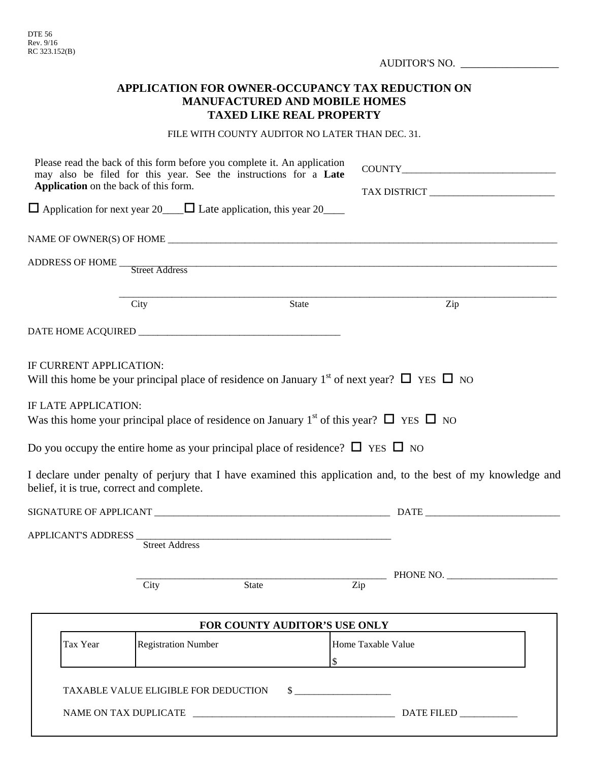|                                           | AUDITOR'S NO.                                                                                                                                                                                                                    |                                                                                                               |
|-------------------------------------------|----------------------------------------------------------------------------------------------------------------------------------------------------------------------------------------------------------------------------------|---------------------------------------------------------------------------------------------------------------|
|                                           | <b>APPLICATION FOR OWNER-OCCUPANCY TAX REDUCTION ON</b><br><b>MANUFACTURED AND MOBILE HOMES</b><br><b>TAXED LIKE REAL PROPERTY</b>                                                                                               |                                                                                                               |
|                                           | FILE WITH COUNTY AUDITOR NO LATER THAN DEC. 31.                                                                                                                                                                                  |                                                                                                               |
| Application on the back of this form.     | Please read the back of this form before you complete it. An application<br>may also be filed for this year. See the instructions for a Late<br>$\Box$ Application for next year 20 $\Box$ Late application, this year 20 $\Box$ |                                                                                                               |
|                                           |                                                                                                                                                                                                                                  |                                                                                                               |
|                                           | ADDRESS OF HOME Street Address<br>City<br>State                                                                                                                                                                                  | Zip                                                                                                           |
|                                           |                                                                                                                                                                                                                                  |                                                                                                               |
| IF CURRENT APPLICATION:                   | Will this home be your principal place of residence on January 1 <sup>st</sup> of next year? $\Box$ YES $\Box$ NO                                                                                                                |                                                                                                               |
| IF LATE APPLICATION:                      | Was this home your principal place of residence on January 1 <sup>st</sup> of this year? $\Box$ YES $\Box$ NO                                                                                                                    |                                                                                                               |
|                                           | Do you occupy the entire home as your principal place of residence? $\Box$ YES $\Box$ NO                                                                                                                                         |                                                                                                               |
| belief, it is true, correct and complete. |                                                                                                                                                                                                                                  | I declare under penalty of perjury that I have examined this application and, to the best of my knowledge and |
|                                           |                                                                                                                                                                                                                                  |                                                                                                               |
|                                           | <b>Street Address</b>                                                                                                                                                                                                            |                                                                                                               |
|                                           | City<br>State                                                                                                                                                                                                                    | $P$ HONE NO.<br>Zip                                                                                           |
|                                           | FOR COUNTY AUDITOR'S USE ONLY                                                                                                                                                                                                    |                                                                                                               |
| Tax Year                                  | <b>Registration Number</b><br>\$                                                                                                                                                                                                 | Home Taxable Value                                                                                            |

TAXABLE VALUE ELIGIBLE FOR DEDUCTION  $\quad \quad \$$ 

NAME ON TAX DUPLICATE \_\_\_\_\_\_\_\_\_\_\_\_\_\_\_\_\_\_\_\_\_\_\_\_\_\_\_\_\_\_\_\_\_\_\_\_\_\_\_\_\_\_ DATE FILED \_\_\_\_\_\_\_\_\_\_\_\_